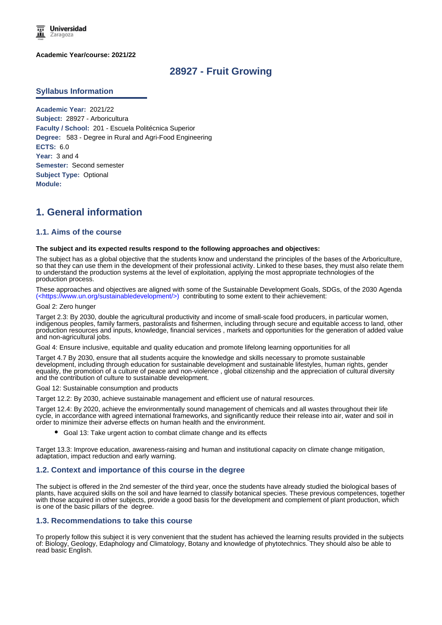

### **Academic Year/course: 2021/22**

## **28927 - Fruit Growing**

### **Syllabus Information**

**Academic Year:** 2021/22 **Subject:** 28927 - Arboricultura **Faculty / School:** 201 - Escuela Politécnica Superior **Degree:** 583 - Degree in Rural and Agri-Food Engineering **ECTS:** 6.0 Year: 3 and 4 **Semester:** Second semester **Subject Type:** Optional **Module:**

# **1. General information**

## **1.1. Aims of the course**

#### **The subject and its expected results respond to the following approaches and objectives:**

The subject has as a global objective that the students know and understand the principles of the bases of the Arboriculture, so that they can use them in the development of their professional activity. Linked to these bases, they must also relate them to understand the production systems at the level of exploitation, applying the most appropriate technologies of the production process.

These approaches and objectives are aligned with some of the Sustainable Development Goals, SDGs, of the 2030 Agenda (<https://www.un.org/sustainabledevelopment/>) contributing to some extent to their achievement:

#### Goal 2: Zero hunger

Target 2.3: By 2030, double the agricultural productivity and income of small-scale food producers, in particular women, indigenous peoples, family farmers, pastoralists and fishermen, including through secure and equitable access to land, other production resources and inputs, knowledge, financial services , markets and opportunities for the generation of added value and non-agricultural jobs.

Goal 4: Ensure inclusive, equitable and quality education and promote lifelong learning opportunities for all

Target 4.7 By 2030, ensure that all students acquire the knowledge and skills necessary to promote sustainable development, including through education for sustainable development and sustainable lifestyles, human rights, gender equality, the promotion of a culture of peace and non-violence , global citizenship and the appreciation of cultural diversity and the contribution of culture to sustainable development.

Goal 12: Sustainable consumption and products

Target 12.2: By 2030, achieve sustainable management and efficient use of natural resources.

Target 12.4: By 2020, achieve the environmentally sound management of chemicals and all wastes throughout their life cycle, in accordance with agreed international frameworks, and significantly reduce their release into air, water and soil in order to minimize their adverse effects on human health and the environment.

Goal 13: Take urgent action to combat climate change and its effects

Target 13.3: Improve education, awareness-raising and human and institutional capacity on climate change mitigation, adaptation, impact reduction and early warning.

### **1.2. Context and importance of this course in the degree**

The subject is offered in the 2nd semester of the third year, once the students have already studied the biological bases of plants, have acquired skills on the soil and have learned to classify botanical species. These previous competences, together with those acquired in other subjects, provide a good basis for the development and complement of plant production, which is one of the basic pillars of the degree.

### **1.3. Recommendations to take this course**

To properly follow this subject it is very convenient that the student has achieved the learning results provided in the subjects of: Biology, Geology, Edaphology and Climatology, Botany and knowledge of phytotechnics. They should also be able to read basic English.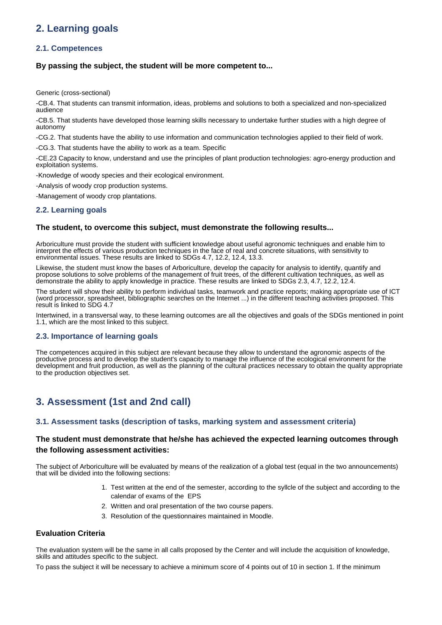# **2. Learning goals**

## **2.1. Competences**

## **By passing the subject, the student will be more competent to...**

Generic (cross-sectional)

-CB.4. That students can transmit information, ideas, problems and solutions to both a specialized and non-specialized audience

-CB.5. That students have developed those learning skills necessary to undertake further studies with a high degree of autonomy

-CG.2. That students have the ability to use information and communication technologies applied to their field of work.

-CG.3. That students have the ability to work as a team. Specific

-CE.23 Capacity to know, understand and use the principles of plant production technologies: agro-energy production and exploitation systems.

-Knowledge of woody species and their ecological environment.

-Analysis of woody crop production systems.

-Management of woody crop plantations.

## **2.2. Learning goals**

## **The student, to overcome this subject, must demonstrate the following results...**

Arboriculture must provide the student with sufficient knowledge about useful agronomic techniques and enable him to interpret the effects of various production techniques in the face of real and concrete situations, with sensitivity to environmental issues. These results are linked to SDGs 4.7, 12.2, 12.4, 13.3.

Likewise, the student must know the bases of Arboriculture, develop the capacity for analysis to identify, quantify and propose solutions to solve problems of the management of fruit trees, of the different cultivation techniques, as well as demonstrate the ability to apply knowledge in practice. These results are linked to SDGs 2.3, 4.7, 12.2, 12.4.

The student will show their ability to perform individual tasks, teamwork and practice reports; making appropriate use of ICT (word processor, spreadsheet, bibliographic searches on the Internet ...) in the different teaching activities proposed. This result is linked to SDG 4.7

Intertwined, in a transversal way, to these learning outcomes are all the objectives and goals of the SDGs mentioned in point 1.1, which are the most linked to this subject.

## **2.3. Importance of learning goals**

The competences acquired in this subject are relevant because they allow to understand the agronomic aspects of the productive process and to develop the student's capacity to manage the influence of the ecological environment for the development and fruit production, as well as the planning of the cultural practices necessary to obtain the quality appropriate to the production objectives set.

# **3. Assessment (1st and 2nd call)**

## **3.1. Assessment tasks (description of tasks, marking system and assessment criteria)**

## **The student must demonstrate that he/she has achieved the expected learning outcomes through the following assessment activities:**

The subject of Arboriculture will be evaluated by means of the realization of a global test (equal in the two announcements) that will be divided into the following sections:

- 1. Test written at the end of the semester, according to the syllcle of the subject and according to the calendar of exams of the EPS
- 2. Written and oral presentation of the two course papers.
- 3. Resolution of the questionnaires maintained in Moodle.

## **Evaluation Criteria**

The evaluation system will be the same in all calls proposed by the Center and will include the acquisition of knowledge, skills and attitudes specific to the subject.

To pass the subject it will be necessary to achieve a minimum score of 4 points out of 10 in section 1. If the minimum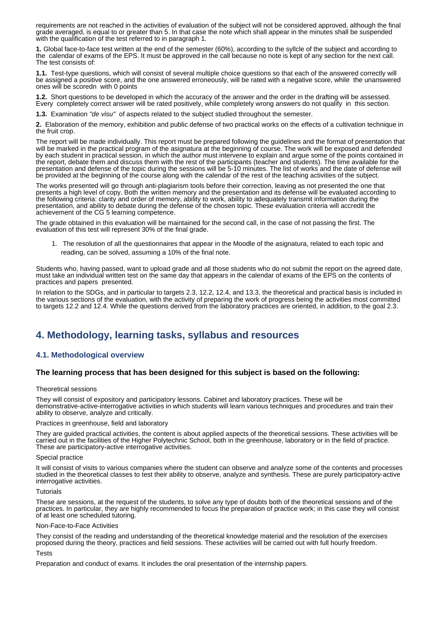requirements are not reached in the activities of evaluation of the subject will not be considered approved, although the final grade averaged, is equal to or greater than 5. In that case the note which shall appear in the minutes shall be suspended with the qualification of the test referred to in paragraph 1.

**1.** Global face-to-face test written at the end of the semester (60%), according to the syllcle of the subject and according to the calendar of exams of the EPS. It must be approved in the call because no note is kept of any section for the next call. The test consists of:

**1.1.**  Test-type questions, which will consist of several multiple choice questions so that each of the answered correctly will be assigned a positive score, and the one answered erroneously, will be rated with a negative score, while the unanswered ones will be scoredn with 0 points

**1.2.**  Short questions to be developed in which the accuracy of the answer and the order in the drafting will be assessed. Every completely correct answer will be rated positively, while completely wrong answers do not qualify in this section.

**1.3.** Examination "de visu" of aspects related to the subject studied throughout the semester.

**2.** Elaboration of the memory, exhibition and public defense of two practical works on the effects of a cultivation technique in the fruit crop.

The report will be made individually. This report must be prepared following the guidelines and the format of presentation that will be marked in the practical program of the asignatura at the beginning of course. The work will be exposed and defended by each student in practical session, in which the author must intervene to explain and argue some of the points contained in the report, debate them and discuss them with the rest of the participants (teacher and students). The time available for the presentation and defense of the topic during the sessions will be 5-10 minutes. The list of works and the date of defense will be provided at the beginning of the course along with the calendar of the rest of the teaching activities of the subject.

The works presented will go through anti-plagiarism tools before their correction, leaving as not presented the one that presents a high level of copy. Both the written memory and the presentation and its defense will be evaluated according to the following criteria: clarity and order of memory, ability to work, ability to adequately transmit information during the presentation, and ability to debate during the defense of the chosen topic. These evaluation criteria will accredit the achievement of the CG 5 learning competence.

The grade obtained in this evaluation will be maintained for the second call, in the case of not passing the first. The evaluation of this test will represent 30% of the final grade.

1. The resolution of all the questionnaires that appear in the Moodle of the asignatura, related to each topic and reading, can be solved, assuming a 10% of the final note.

Students who, having passed, want to upload grade and all those students who do not submit the report on the agreed date, must take an individual written test on the same day that appears in the calendar of exams of the EPS on the contents of practices and papers presented.

In relation to the SDGs, and in particular to targets 2.3, 12.2, 12.4, and 13.3, the theoretical and practical basis is included in the various sections of the evaluation, with the activity of preparing the work of progress being the activities most committed to targets 12.2 and 12.4. While the questions derived from the laboratory practices are oriented, in addition, to the goal 2.3.

# **4. Methodology, learning tasks, syllabus and resources**

## **4.1. Methodological overview**

### **The learning process that has been designed for this subject is based on the following:**

### Theoretical sessions

They will consist of expository and participatory lessons. Cabinet and laboratory practices. These will be demonstrative-active-interrogative activities in which students will learn various techniques and procedures and train their ability to observe, analyze and critically.

### Practices in greenhouse, field and laboratory

They are guided practical activities, the content is about applied aspects of the theoretical sessions. These activities will be carried out in the facilities of the Higher Polytechnic School, both in the greenhouse, laboratory or in the field of practice. These are participatory-active interrogative activities.

### Special practice

It will consist of visits to various companies where the student can observe and analyze some of the contents and processes studied in the theoretical classes to test their ability to observe, analyze and synthesis. These are purely participatory-active interrogative activities.

#### **Tutorials**

These are sessions, at the request of the students, to solve any type of doubts both of the theoretical sessions and of the practices. In particular, they are highly recommended to focus the preparation of practice work; in this case they will consist of at least one scheduled tutoring.

### Non-Face-to-Face Activities

They consist of the reading and understanding of the theoretical knowledge material and the resolution of the exercises proposed during the theory, practices and field sessions. These activities will be carried out with full hourly freedom.

### **Tacts**

Preparation and conduct of exams. It includes the oral presentation of the internship papers.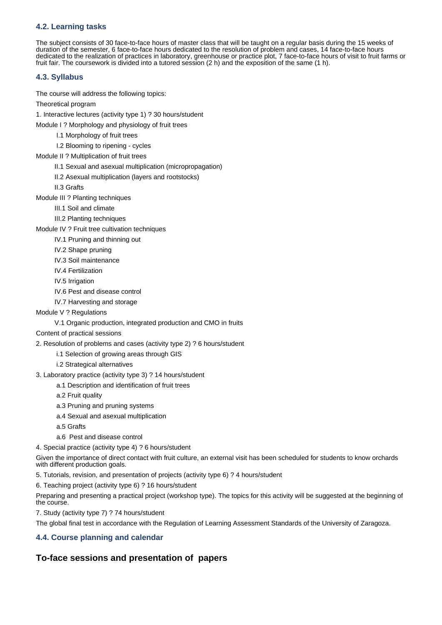## **4.2. Learning tasks**

The subject consists of 30 face-to-face hours of master class that will be taught on a regular basis during the 15 weeks of duration of the semester, 6 face-to-face hours dedicated to the resolution of problem and cases, 14 face-to-face hours dedicated to the realization of practices in laboratory, greenhouse or practice plot, 7 face-to-face hours of visit to fruit farms or fruit fair. The coursework is divided into a tutored session (2 h) and the exposition of the same (1 h).

## **4.3. Syllabus**

The course will address the following topics:

Theoretical program

1. Interactive lectures (activity type 1) ? 30 hours/student

Module I ? Morphology and physiology of fruit trees

I.1 Morphology of fruit trees

I.2 Blooming to ripening - cycles

- Module II ? Multiplication of fruit trees
	- II.1 Sexual and asexual multiplication (micropropagation)
	- II.2 Asexual multiplication (layers and rootstocks)

II.3 Grafts

- Module III ? Planting techniques
	- III.1 Soil and climate
	- III.2 Planting techniques

Module IV ? Fruit tree cultivation techniques

- IV.1 Pruning and thinning out
- IV.2 Shape pruning
- IV.3 Soil maintenance
- IV.4 Fertilization
- IV.5 Irrigation
- IV.6 Pest and disease control
- IV.7 Harvesting and storage
- Module V ? Regulations
	- V.1 Organic production, integrated production and CMO in fruits

## Content of practical sessions

- 2. Resolution of problems and cases (activity type 2) ? 6 hours/student
	- i.1 Selection of growing areas through GIS
	- i.2 Strategical alternatives
- 3. Laboratory practice (activity type 3) ? 14 hours/student
	- a.1 Description and identification of fruit trees
	- a.2 Fruit quality
	- a.3 Pruning and pruning systems
	- a.4 Sexual and asexual multiplication
	- a.5 Grafts
	- a.6 Pest and disease control
- 4. Special practice (activity type 4) ? 6 hours/student

Given the importance of direct contact with fruit culture, an external visit has been scheduled for students to know orchards with different production goals.

5. Tutorials, revision, and presentation of projects (activity type 6) ? 4 hours/student

6. Teaching project (activity type 6) ? 16 hours/student

Preparing and presenting a practical project (workshop type). The topics for this activity will be suggested at the beginning of the course.

7. Study (activity type 7) ? 74 hours/student

The global final test in accordance with the Regulation of Learning Assessment Standards of the University of Zaragoza.

## **4.4. Course planning and calendar**

## **To-face sessions and presentation of papers**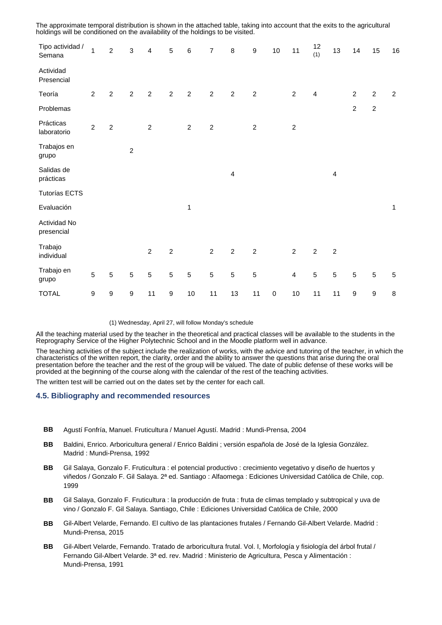| Tipo actividad /<br>Semana | 1                | $\boldsymbol{2}$ | $\sqrt{3}$     | $\overline{\mathbf{4}}$ | $\sqrt{5}$       | $\,6\,$          | $\boldsymbol{7}$ | $\,8\,$          | $\boldsymbol{9}$ | $10\,$    | 11               | 12<br>(1)               | 13             | 14               | 15               | 16           |
|----------------------------|------------------|------------------|----------------|-------------------------|------------------|------------------|------------------|------------------|------------------|-----------|------------------|-------------------------|----------------|------------------|------------------|--------------|
| Actividad<br>Presencial    |                  |                  |                |                         |                  |                  |                  |                  |                  |           |                  |                         |                |                  |                  |              |
| Teoría                     | $\sqrt{2}$       | $\boldsymbol{2}$ | $\sqrt{2}$     | $\overline{2}$          | $\overline{2}$   | $\boldsymbol{2}$ | $\boldsymbol{2}$ | $\sqrt{2}$       | $\sqrt{2}$       |           | $\boldsymbol{2}$ | $\overline{\mathbf{4}}$ |                | $\boldsymbol{2}$ | $\overline{2}$   | $\sqrt{2}$   |
| Problemas                  |                  |                  |                |                         |                  |                  |                  |                  |                  |           |                  |                         |                | $\overline{c}$   | $\overline{c}$   |              |
| Prácticas<br>laboratorio   | $\overline{c}$   | $\mathbf 2$      |                | $\overline{c}$          |                  | $\sqrt{2}$       | $\boldsymbol{2}$ |                  | $\boldsymbol{2}$ |           | $\boldsymbol{2}$ |                         |                |                  |                  |              |
| Trabajos en<br>grupo       |                  |                  | $\overline{c}$ |                         |                  |                  |                  |                  |                  |           |                  |                         |                |                  |                  |              |
| Salidas de<br>prácticas    |                  |                  |                |                         |                  |                  |                  | $\overline{4}$   |                  |           |                  |                         | $\overline{4}$ |                  |                  |              |
| <b>Tutorías ECTS</b>       |                  |                  |                |                         |                  |                  |                  |                  |                  |           |                  |                         |                |                  |                  |              |
| Evaluación                 |                  |                  |                |                         |                  | 1                |                  |                  |                  |           |                  |                         |                |                  |                  | $\mathbf{1}$ |
| Actividad No<br>presencial |                  |                  |                |                         |                  |                  |                  |                  |                  |           |                  |                         |                |                  |                  |              |
| Trabajo<br>individual      |                  |                  |                | $\overline{c}$          | $\overline{c}$   |                  | $\overline{c}$   | $\boldsymbol{2}$ | $\sqrt{2}$       |           | $\overline{2}$   | $\overline{2}$          | $\overline{c}$ |                  |                  |              |
| Trabajo en<br>grupo        | 5                | $\sqrt{5}$       | $\sqrt{5}$     | $\sqrt{5}$              | $\sqrt{5}$       | $\sqrt{5}$       | $\sqrt{5}$       | $\sqrt{5}$       | $\sqrt{5}$       |           | $\overline{4}$   | 5                       | $\overline{5}$ | $\sqrt{5}$       | $\sqrt{5}$       | $\sqrt{5}$   |
| <b>TOTAL</b>               | $\boldsymbol{9}$ | 9                | 9              | 11                      | $\boldsymbol{9}$ | $10$             | 11               | 13               | 11               | $\pmb{0}$ | $10$             | 11                      | 11             | $\boldsymbol{9}$ | $\boldsymbol{9}$ | 8            |

The approximate temporal distribution is shown in the attached table, taking into account that the exits to the agricultural holdings will be conditioned on the availability of the holdings to be visited.

### (1) Wednesday, April 27, will follow Monday's schedule

All the teaching material used by the teacher in the theoretical and practical classes will be available to the students in the Reprography Service of the Higher Polytechnic School and in the Moodle platform well in advance.

The teaching activities of the subject include the realization of works, with the advice and tutoring of the teacher, in which the characteristics of the written report, the clarity, order and the ability to answer the questions that arise during the oral presentation before the teacher and the rest of the group will be valued. The date of public defense of these works will be provided at the beginning of the course along with the calendar of the rest of the teaching activities.

The written test will be carried out on the dates set by the center for each call.

## **4.5. Bibliography and recommended resources**

- **BB** Agustí Fonfría, Manuel. Fruticultura / Manuel Agustí. Madrid : Mundi-Prensa, 2004
- **BB** Baldini, Enrico. Arboricultura general / Enrico Baldini ; versión española de José de la Iglesia González. Madrid : Mundi-Prensa, 1992
- **BB** Gil Salaya, Gonzalo F. Fruticultura : el potencial productivo : crecimiento vegetativo y diseño de huertos y viñedos / Gonzalo F. Gil Salaya. 2ª ed. Santiago : Alfaomega : Ediciones Universidad Católica de Chile, cop. 1999
- **BB** Gil Salaya, Gonzalo F. Fruticultura : la producción de fruta : fruta de climas templado y subtropical y uva de vino / Gonzalo F. Gil Salaya. Santiago, Chile : Ediciones Universidad Católica de Chile, 2000
- **BB** Gil-Albert Velarde, Fernando. El cultivo de las plantaciones frutales / Fernando Gil-Albert Velarde. Madrid : Mundi-Prensa, 2015
- **BB** Gil-Albert Velarde, Fernando. Tratado de arboricultura frutal. Vol. I, Morfología y fisiología del árbol frutal / Fernando Gil-Albert Velarde. 3ª ed. rev. Madrid : Ministerio de Agricultura, Pesca y Alimentación : Mundi-Prensa, 1991